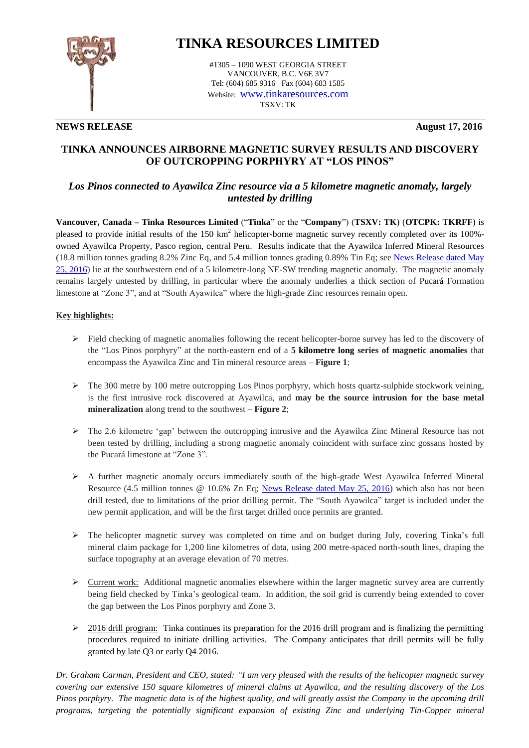

# **TINKA RESOURCES LIMITED**

#1305 – 1090 WEST GEORGIA STREET VANCOUVER, B.C. V6E 3V7 Tel: (604) 685 9316 Fax (604) 683 1585 Website: [www.tinkaresources.com](http://www.tinkaresources.com/) TSXV: TK

#### **NEWS RELEASE August 17, 2016**

## **TINKA ANNOUNCES AIRBORNE MAGNETIC SURVEY RESULTS AND DISCOVERY OF OUTCROPPING PORPHYRY AT "LOS PINOS"**

### *Los Pinos connected to Ayawilca Zinc resource via a 5 kilometre magnetic anomaly, largely untested by drilling*

**Vancouver, Canada – Tinka Resources Limited** ("**Tinka**" or the "**Company**") (**TSXV: TK**) (**OTCPK: TKRFF**) is pleased to provide initial results of the  $150 \text{ km}^2$  helicopter-borne magnetic survey recently completed over its 100%owned Ayawilca Property, Pasco region, central Peru. Results indicate that the Ayawilca Inferred Mineral Resources (18.8 million tonnes grading 8.2% Zinc Eq, and 5.4 million tonnes grading 0.89% Tin Eq; see [News Release](https://www.tinkaresources.com/news/tinka-increases-inferred-mineral-resources-at-ayawilca-zinc-resource-now-18-8-million-tonnes-at-8-2-zinc-eq-initial-tin-resource-5-4-million-tonnes-at-0-89-tin-eq) dated May [25, 2016\)](https://www.tinkaresources.com/news/tinka-increases-inferred-mineral-resources-at-ayawilca-zinc-resource-now-18-8-million-tonnes-at-8-2-zinc-eq-initial-tin-resource-5-4-million-tonnes-at-0-89-tin-eq) lie at the southwestern end of a 5 kilometre-long NE-SW trending magnetic anomaly. The magnetic anomaly remains largely untested by drilling, in particular where the anomaly underlies a thick section of Pucará Formation limestone at "Zone 3", and at "South Ayawilca" where the high-grade Zinc resources remain open.

#### **Key highlights:**

- $\triangleright$  Field checking of magnetic anomalies following the recent helicopter-borne survey has led to the discovery of the "Los Pinos porphyry" at the north-eastern end of a **5 kilometre long series of magnetic anomalies** that encompass the Ayawilca Zinc and Tin mineral resource areas – **Figure 1**;
- $\triangleright$  The 300 metre by 100 metre outcropping Los Pinos porphyry, which hosts quartz-sulphide stockwork veining, is the first intrusive rock discovered at Ayawilca, and **may be the source intrusion for the base metal mineralization** along trend to the southwest – **Figure 2**;
- $\triangleright$  The 2.6 kilometre 'gap' between the outcropping intrusive and the Ayawilca Zinc Mineral Resource has not been tested by drilling, including a strong magnetic anomaly coincident with surface zinc gossans hosted by the Pucará limestone at "Zone 3".
- A further magnetic anomaly occurs immediately south of the high-grade West Ayawilca Inferred Mineral Resource (4.5 million tonnes @ 10.6% Zn Eq; [News Release dated May 25, 2016\)](https://www.tinkaresources.com/news/tinka-increases-inferred-mineral-resources-at-ayawilca-zinc-resource-now-18-8-million-tonnes-at-8-2-zinc-eq-initial-tin-resource-5-4-million-tonnes-at-0-89-tin-eq) which also has not been drill tested, due to limitations of the prior drilling permit. The "South Ayawilca" target is included under the new permit application, and will be the first target drilled once permits are granted.
- $\triangleright$  The helicopter magnetic survey was completed on time and on budget during July, covering Tinka's full mineral claim package for 1,200 line kilometres of data, using 200 metre-spaced north-south lines, draping the surface topography at an average elevation of 70 metres.
- $\triangleright$  Current work: Additional magnetic anomalies elsewhere within the larger magnetic survey area are currently being field checked by Tinka's geological team. In addition, the soil grid is currently being extended to cover the gap between the Los Pinos porphyry and Zone 3.
- $\geq 2016$  drill program: Tinka continues its preparation for the 2016 drill program and is finalizing the permitting procedures required to initiate drilling activities. The Company anticipates that drill permits will be fully granted by late Q3 or early Q4 2016.

*Dr. Graham Carman, President and CEO, stated: "I am very pleased with the results of the helicopter magnetic survey covering our extensive 150 square kilometres of mineral claims at Ayawilca, and the resulting discovery of the Los Pinos porphyry. The magnetic data is of the highest quality, and will greatly assist the Company in the upcoming drill programs, targeting the potentially significant expansion of existing Zinc and underlying Tin-Copper mineral*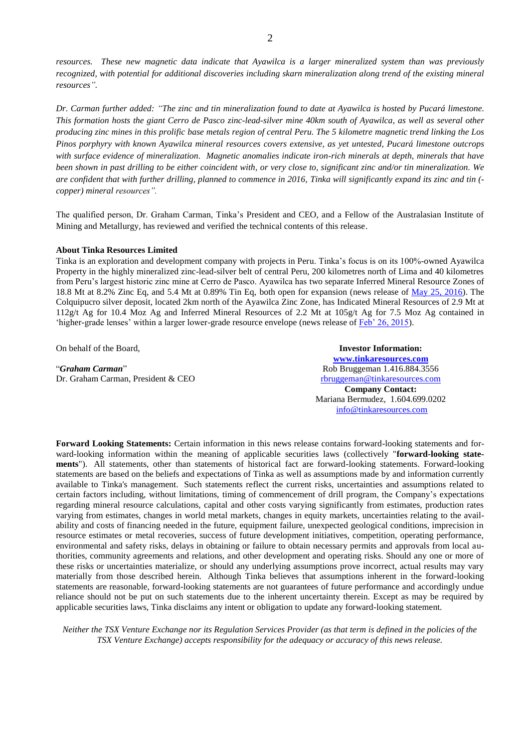*resources. These new magnetic data indicate that Ayawilca is a larger mineralized system than was previously recognized, with potential for additional discoveries including skarn mineralization along trend of the existing mineral resources".* 

*Dr. Carman further added: "The zinc and tin mineralization found to date at Ayawilca is hosted by Pucará limestone. This formation hosts the giant Cerro de Pasco zinc-lead-silver mine 40km south of Ayawilca, as well as several other producing zinc mines in this prolific base metals region of central Peru. The 5 kilometre magnetic trend linking the Los Pinos porphyry with known Ayawilca mineral resources covers extensive, as yet untested, Pucará limestone outcrops with surface evidence of mineralization. Magnetic anomalies indicate iron-rich minerals at depth, minerals that have been shown in past drilling to be either coincident with, or very close to, significant zinc and/or tin mineralization. We are confident that with further drilling, planned to commence in 2016, Tinka will significantly expand its zinc and tin ( copper) mineral resources".* 

The qualified person, Dr. Graham Carman, Tinka's President and CEO, and a Fellow of the Australasian Institute of Mining and Metallurgy, has reviewed and verified the technical contents of this release.

#### **About Tinka Resources Limited**

Tinka is an exploration and development company with projects in Peru. Tinka's focus is on its 100%-owned Ayawilca Property in the highly mineralized zinc-lead-silver belt of central Peru, 200 kilometres north of Lima and 40 kilometres from Peru's largest historic zinc mine at Cerro de Pasco. Ayawilca has two separate Inferred Mineral Resource Zones of 18.8 Mt at 8.2% Zinc Eq, and 5.4 Mt at 0.89% Tin Eq, both open for expansion (news release of [May 25, 2016\)](https://www.tinkaresources.com/news/tinka-increases-inferred-mineral-resources-at-ayawilca-zinc-resource-now-18-8-million-tonnes-at-8-2-zinc-eq-initial-tin-resource-5-4-million-tonnes-at-0-89-tin-eq). The Colquipucro silver deposit, located 2km north of the Ayawilca Zinc Zone, has Indicated Mineral Resources of 2.9 Mt at 112g/t Ag for 10.4 Moz Ag and Inferred Mineral Resources of 2.2 Mt at 105g/t Ag for 7.5 Moz Ag contained in 'higher-grade lenses' within a larger lower-grade resource envelope (news release of [Feb' 26, 2015\)](https://www.tinkaresources.com/news/00-00-tinka-announces-initial-inferred-zinc-resource-of-13-3-million-tonnes-grading-7-697874).

On behalf of the Board,

"*Graham Carman*" Dr. Graham Carman, President & CEO

**Investor Information: [www.tinkaresources.com](http://www.tinkaresources.com/)** Rob Bruggeman 1.416.884.3556 [rbruggeman@tinkaresources.com](mailto:rbruggeman@tinkaresources.com) **Company Contact:** Mariana Bermudez, 1.604.699.0202 [info@tinkaresources.com](mailto:info@tinkaresources.com)

**Forward Looking Statements:** Certain information in this news release contains forward-looking statements and forward-looking information within the meaning of applicable securities laws (collectively "**forward-looking statements**"). All statements, other than statements of historical fact are forward-looking statements. Forward-looking statements are based on the beliefs and expectations of Tinka as well as assumptions made by and information currently available to Tinka's management. Such statements reflect the current risks, uncertainties and assumptions related to certain factors including, without limitations, timing of commencement of drill program, the Company's expectations regarding mineral resource calculations, capital and other costs varying significantly from estimates, production rates varying from estimates, changes in world metal markets, changes in equity markets, uncertainties relating to the availability and costs of financing needed in the future, equipment failure, unexpected geological conditions, imprecision in resource estimates or metal recoveries, success of future development initiatives, competition, operating performance, environmental and safety risks, delays in obtaining or failure to obtain necessary permits and approvals from local authorities, community agreements and relations, and other development and operating risks. Should any one or more of these risks or uncertainties materialize, or should any underlying assumptions prove incorrect, actual results may vary materially from those described herein. Although Tinka believes that assumptions inherent in the forward-looking statements are reasonable, forward-looking statements are not guarantees of future performance and accordingly undue reliance should not be put on such statements due to the inherent uncertainty therein. Except as may be required by applicable securities laws, Tinka disclaims any intent or obligation to update any forward-looking statement.

*Neither the TSX Venture Exchange nor its Regulation Services Provider (as that term is defined in the policies of the TSX Venture Exchange) accepts responsibility for the adequacy or accuracy of this news release.*